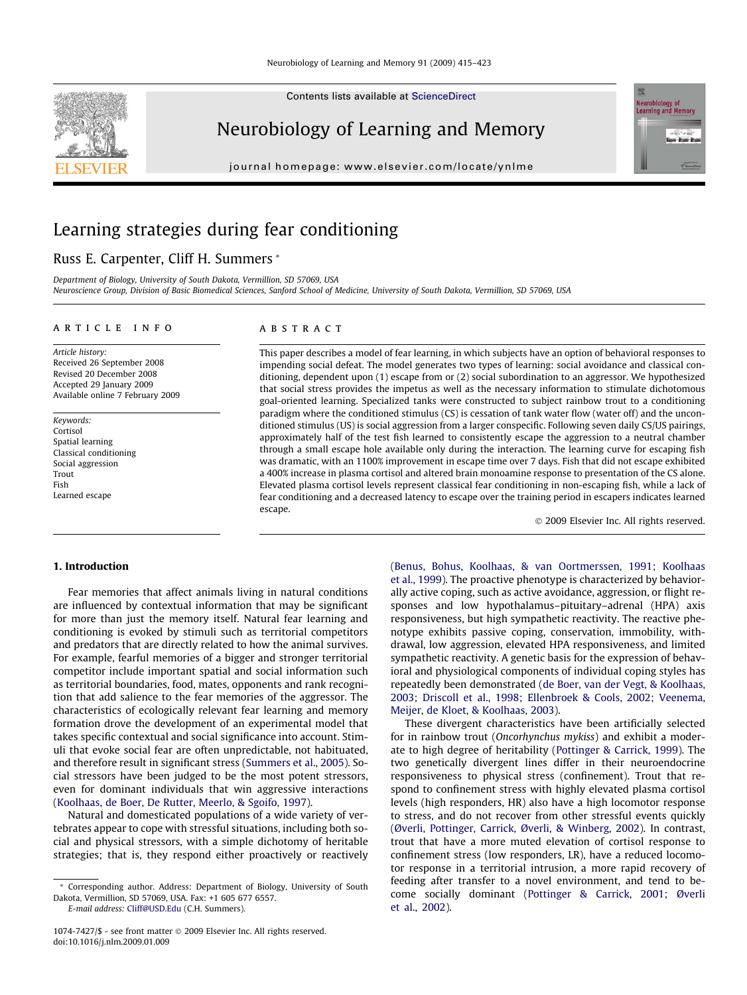Contents lists available at [ScienceDirect](http://www.sciencedirect.com/science/journal/10747427)

## Neurobiology of Learning and Memory

journal homepage: [www.elsevier.com/locate/ynlme](http://www.elsevier.com/locate/ynlme)

# Learning strategies during fear conditioning

## Russ E. Carpenter, Cliff H. Summers \*

Department of Biology, University of South Dakota, Vermillion, SD 57069, USA Neuroscience Group, Division of Basic Biomedical Sciences, Sanford School of Medicine, University of South Dakota, Vermillion, SD 57069, USA

## article info

Article history: Received 26 September 2008 Revised 20 December 2008 Accepted 29 January 2009 Available online 7 February 2009

Keywords: Cortisol Spatial learning Classical conditioning Social aggression Trout Fish Learned escape

## **ABSTRACT**

This paper describes a model of fear learning, in which subjects have an option of behavioral responses to impending social defeat. The model generates two types of learning: social avoidance and classical conditioning, dependent upon (1) escape from or (2) social subordination to an aggressor. We hypothesized that social stress provides the impetus as well as the necessary information to stimulate dichotomous goal-oriented learning. Specialized tanks were constructed to subject rainbow trout to a conditioning paradigm where the conditioned stimulus (CS) is cessation of tank water flow (water off) and the unconditioned stimulus (US) is social aggression from a larger conspecific. Following seven daily CS/US pairings, approximately half of the test fish learned to consistently escape the aggression to a neutral chamber through a small escape hole available only during the interaction. The learning curve for escaping fish was dramatic, with an 1100% improvement in escape time over 7 days. Fish that did not escape exhibited a 400% increase in plasma cortisol and altered brain monoamine response to presentation of the CS alone. Elevated plasma cortisol levels represent classical fear conditioning in non-escaping fish, while a lack of fear conditioning and a decreased latency to escape over the training period in escapers indicates learned escape.

- 2009 Elsevier Inc. All rights reserved.

#### 1. Introduction

Fear memories that affect animals living in natural conditions are influenced by contextual information that may be significant for more than just the memory itself. Natural fear learning and conditioning is evoked by stimuli such as territorial competitors and predators that are directly related to how the animal survives. For example, fearful memories of a bigger and stronger territorial competitor include important spatial and social information such as territorial boundaries, food, mates, opponents and rank recognition that add salience to the fear memories of the aggressor. The characteristics of ecologically relevant fear learning and memory formation drove the development of an experimental model that takes specific contextual and social significance into account. Stimuli that evoke social fear are often unpredictable, not habituated, and therefore result in significant stress [\(Summers et al., 2005\)](#page--1-0). Social stressors have been judged to be the most potent stressors, even for dominant individuals that win aggressive interactions ([Koolhaas, de Boer, De Rutter, Meerlo, & Sgoifo, 1997\)](#page--1-0).

Natural and domesticated populations of a wide variety of vertebrates appear to cope with stressful situations, including both social and physical stressors, with a simple dichotomy of heritable strategies; that is, they respond either proactively or reactively

E-mail address: [Cliff@USD.Edu](mailto:Cliff@USD.Edu) (C.H. Summers).

([Benus, Bohus, Koolhaas, & van Oortmerssen, 1991; Koolhaas](#page--1-0) [et al., 1999](#page--1-0)). The proactive phenotype is characterized by behaviorally active coping, such as active avoidance, aggression, or flight responses and low hypothalamus–pituitary–adrenal (HPA) axis responsiveness, but high sympathetic reactivity. The reactive phenotype exhibits passive coping, conservation, immobility, withdrawal, low aggression, elevated HPA responsiveness, and limited sympathetic reactivity. A genetic basis for the expression of behavioral and physiological components of individual coping styles has repeatedly been demonstrated ([de Boer, van der Vegt, & Koolhaas,](#page--1-0) [2003; Driscoll et al., 1998; Ellenbroek & Cools, 2002; Veenema,](#page--1-0) [Meijer, de Kloet, & Koolhaas, 2003](#page--1-0)).

These divergent characteristics have been artificially selected for in rainbow trout (Oncorhynchus mykiss) and exhibit a moderate to high degree of heritability ([Pottinger & Carrick, 1999\)](#page--1-0). The two genetically divergent lines differ in their neuroendocrine responsiveness to physical stress (confinement). Trout that respond to confinement stress with highly elevated plasma cortisol levels (high responders, HR) also have a high locomotor response to stress, and do not recover from other stressful events quickly ([Øverli, Pottinger, Carrick,](#page--1-0) [Øverli, & Winberg, 2002](#page--1-0)). In contrast, trout that have a more muted elevation of cortisol response to confinement stress (low responders, LR), have a reduced locomotor response in a territorial intrusion, a more rapid recovery of feeding after transfer to a novel environment, and tend to become socially dominant ([Pottinger & Carrick, 2001; Øverli](#page--1-0) [et al., 2002](#page--1-0)).





<sup>\*</sup> Corresponding author. Address: Department of Biology, University of South Dakota, Vermillion, SD 57069, USA. Fax: +1 605 677 6557.

<sup>1074-7427/\$ -</sup> see front matter © 2009 Elsevier Inc. All rights reserved. doi:10.1016/j.nlm.2009.01.009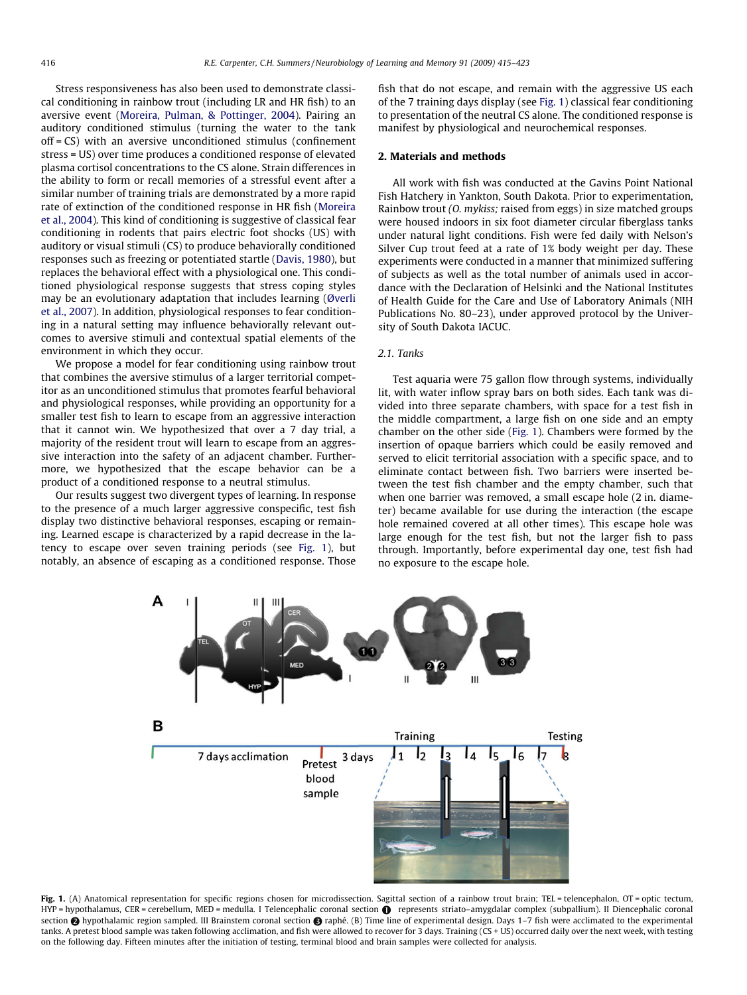Stress responsiveness has also been used to demonstrate classical conditioning in rainbow trout (including LR and HR fish) to an aversive event ([Moreira, Pulman, & Pottinger, 2004](#page--1-0)). Pairing an auditory conditioned stimulus (turning the water to the tank off = CS) with an aversive unconditioned stimulus (confinement stress = US) over time produces a conditioned response of elevated plasma cortisol concentrations to the CS alone. Strain differences in the ability to form or recall memories of a stressful event after a similar number of training trials are demonstrated by a more rapid rate of extinction of the conditioned response in HR fish ([Moreira](#page--1-0) [et al., 2004\)](#page--1-0). This kind of conditioning is suggestive of classical fear conditioning in rodents that pairs electric foot shocks (US) with auditory or visual stimuli (CS) to produce behaviorally conditioned responses such as freezing or potentiated startle [\(Davis, 1980\)](#page--1-0), but replaces the behavioral effect with a physiological one. This conditioned physiological response suggests that stress coping styles may be an evolutionary adaptation that includes learning (Ø[verli](#page--1-0) [et al., 2007\)](#page--1-0). In addition, physiological responses to fear conditioning in a natural setting may influence behaviorally relevant outcomes to aversive stimuli and contextual spatial elements of the environment in which they occur.

We propose a model for fear conditioning using rainbow trout that combines the aversive stimulus of a larger territorial competitor as an unconditioned stimulus that promotes fearful behavioral and physiological responses, while providing an opportunity for a smaller test fish to learn to escape from an aggressive interaction that it cannot win. We hypothesized that over a 7 day trial, a majority of the resident trout will learn to escape from an aggressive interaction into the safety of an adjacent chamber. Furthermore, we hypothesized that the escape behavior can be a product of a conditioned response to a neutral stimulus.

Our results suggest two divergent types of learning. In response to the presence of a much larger aggressive conspecific, test fish display two distinctive behavioral responses, escaping or remaining. Learned escape is characterized by a rapid decrease in the latency to escape over seven training periods (see Fig. 1), but notably, an absence of escaping as a conditioned response. Those fish that do not escape, and remain with the aggressive US each of the 7 training days display (see Fig. 1) classical fear conditioning to presentation of the neutral CS alone. The conditioned response is manifest by physiological and neurochemical responses.

## 2. Materials and methods

All work with fish was conducted at the Gavins Point National Fish Hatchery in Yankton, South Dakota. Prior to experimentation, Rainbow trout (O. mykiss; raised from eggs) in size matched groups were housed indoors in six foot diameter circular fiberglass tanks under natural light conditions. Fish were fed daily with Nelson's Silver Cup trout feed at a rate of 1% body weight per day. These experiments were conducted in a manner that minimized suffering of subjects as well as the total number of animals used in accordance with the Declaration of Helsinki and the National Institutes of Health Guide for the Care and Use of Laboratory Animals (NIH Publications No. 80–23), under approved protocol by the University of South Dakota IACUC.

#### 2.1. Tanks

Test aquaria were 75 gallon flow through systems, individually lit, with water inflow spray bars on both sides. Each tank was divided into three separate chambers, with space for a test fish in the middle compartment, a large fish on one side and an empty chamber on the other side (Fig. 1). Chambers were formed by the insertion of opaque barriers which could be easily removed and served to elicit territorial association with a specific space, and to eliminate contact between fish. Two barriers were inserted between the test fish chamber and the empty chamber, such that when one barrier was removed, a small escape hole (2 in. diameter) became available for use during the interaction (the escape hole remained covered at all other times). This escape hole was large enough for the test fish, but not the larger fish to pass through. Importantly, before experimental day one, test fish had no exposure to the escape hole.



Fig. 1. (A) Anatomical representation for specific regions chosen for microdissection. Sagittal section of a rainbow trout brain; TEL = telencephalon, OT = optic tectum, HYP = hypothalamus, CER = cerebellum, MED = medulla. I Telencephalic coronal section represents striato–amygdalar complex (subpallium). II Diencephalic coronal section **@** hypothalamic region sampled. III Brainstem coronal section @ raphé. (B) Time line of experimental design. Days 1-7 fish were acclimated to the experimental tanks. A pretest blood sample was taken following acclimation, and fish were allowed to recover for 3 days. Training (CS + US) occurred daily over the next week, with testing on the following day. Fifteen minutes after the initiation of testing, terminal blood and brain samples were collected for analysis.